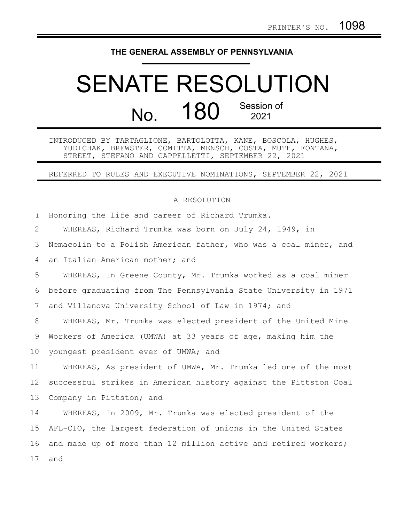## **THE GENERAL ASSEMBLY OF PENNSYLVANIA**

## SENATE RESOLUTION No. 180 Session of 2021

INTRODUCED BY TARTAGLIONE, BARTOLOTTA, KANE, BOSCOLA, HUGHES, YUDICHAK, BREWSTER, COMITTA, MENSCH, COSTA, MUTH, FONTANA, STREET, STEFANO AND CAPPELLETTI, SEPTEMBER 22, 2021

REFERRED TO RULES AND EXECUTIVE NOMINATIONS, SEPTEMBER 22, 2021

## A RESOLUTION

Honoring the life and career of Richard Trumka. 1

WHEREAS, Richard Trumka was born on July 24, 1949, in 2

Nemacolin to a Polish American father, who was a coal miner, and 3

an Italian American mother; and 4

WHEREAS, In Greene County, Mr. Trumka worked as a coal miner before graduating from The Pennsylvania State University in 1971 and Villanova University School of Law in 1974; and 5 6 7

WHEREAS, Mr. Trumka was elected president of the United Mine 8

Workers of America (UMWA) at 33 years of age, making him the 9

youngest president ever of UMWA; and 10

WHEREAS, As president of UMWA, Mr. Trumka led one of the most successful strikes in American history against the Pittston Coal Company in Pittston; and 11 12 13

WHEREAS, In 2009, Mr. Trumka was elected president of the AFL-CIO, the largest federation of unions in the United States and made up of more than 12 million active and retired workers; and 14 15 16 17